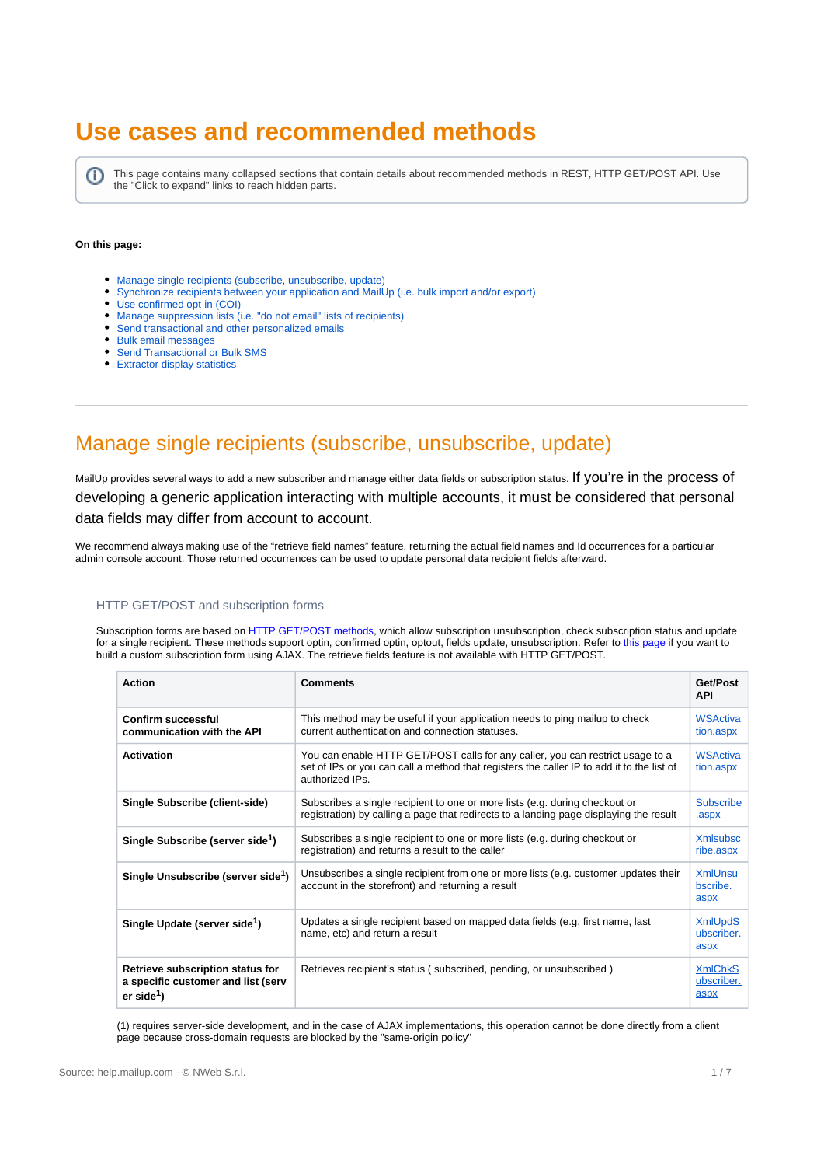# **Use cases and recommended methods**

⋒ This page contains many collapsed sections that contain details about recommended methods in REST, HTTP GET/POST API. Use the "Click to expand" links to reach hidden parts.

### **On this page:**

- [Manage single recipients \(subscribe, unsubscribe, update\)](#page-0-0)
- [Synchronize recipients between your application and MailUp \(i.e. bulk import and/or export\)](#page-1-0)
- [Use confirmed opt-in \(COI\)](#page-2-0)
- [Manage suppression lists \(i.e. "do not email" lists of recipients\)](#page-3-0)
- [Send transactional and other personalized emails](#page-3-1)
- [Bulk email messages](#page-3-2)
- [Send Transactional or Bulk SMS](#page-5-0)
- [Extractor display statistics](#page-6-0)

## <span id="page-0-0"></span>Manage single recipients (subscribe, unsubscribe, update)

MailUp provides several ways to add a new subscriber and manage either data fields or subscription status. If you're in the process of developing a generic application interacting with multiple accounts, it must be considered that personal data fields may differ from account to account.

We recommend always making use of the "retrieve field names" feature, returning the actual field names and Id occurrences for a particular admin console account. Those returned occurrences can be used to update personal data recipient fields afterward.

### HTTP GET/POST and subscription forms

Subscription forms are based on [HTTP GET/POST methods](http://help.mailup.com/display/mailupapi/HTTP+Get+or+Post+API), which allow subscription unsubscription, check subscription status and update for a single recipient. These methods support optin, confirmed optin, optout, fields update, unsubscription. Refer to [this page](http://help.mailup.com/display/mailupapi/Custom+subscription+forms) if you want to build a custom subscription form using AJAX. The retrieve fields feature is not available with HTTP GET/POST.

| <b>Action</b>                                                                                    | Comments                                                                                                                                                                                       | Get/Post<br><b>API</b>               |
|--------------------------------------------------------------------------------------------------|------------------------------------------------------------------------------------------------------------------------------------------------------------------------------------------------|--------------------------------------|
| Confirm successful<br>communication with the API                                                 | This method may be useful if your application needs to ping mailup to check<br>current authentication and connection statuses.                                                                 | <b>WSActiva</b><br>tion.aspx         |
| <b>Activation</b>                                                                                | You can enable HTTP GET/POST calls for any caller, you can restrict usage to a<br>set of IPs or you can call a method that registers the caller IP to add it to the list of<br>authorized IPs. | <b>WSActiva</b><br>tion.aspx         |
| Single Subscribe (client-side)                                                                   | Subscribes a single recipient to one or more lists (e.g. during checkout or<br>registration) by calling a page that redirects to a landing page displaying the result                          | <b>Subscribe</b><br>.aspx            |
| Single Subscribe (server side <sup>1</sup> )                                                     | Subscribes a single recipient to one or more lists (e.g. during checkout or<br>registration) and returns a result to the caller                                                                | <b>Xmlsubsc</b><br>ribe.aspx         |
| Single Unsubscribe (server side <sup>1</sup> )                                                   | Unsubscribes a single recipient from one or more lists (e.g. customer updates their<br>account in the storefront) and returning a result                                                       | <b>XmlUnsu</b><br>bscribe.<br>aspx   |
| Single Update (server side <sup>1</sup> )                                                        | Updates a single recipient based on mapped data fields (e.g. first name, last<br>name, etc) and return a result                                                                                | <b>XmlUpdS</b><br>ubscriber.<br>aspx |
| Retrieve subscription status for<br>a specific customer and list (serv<br>er side <sup>1</sup> ) | Retrieves recipient's status (subscribed, pending, or unsubscribed)                                                                                                                            | <b>XmlChkS</b><br>ubscriber.<br>aspx |

(1) requires server-side development, and in the case of AJAX implementations, this operation cannot be done directly from a client page because cross-domain requests are blocked by the "same-origin policy"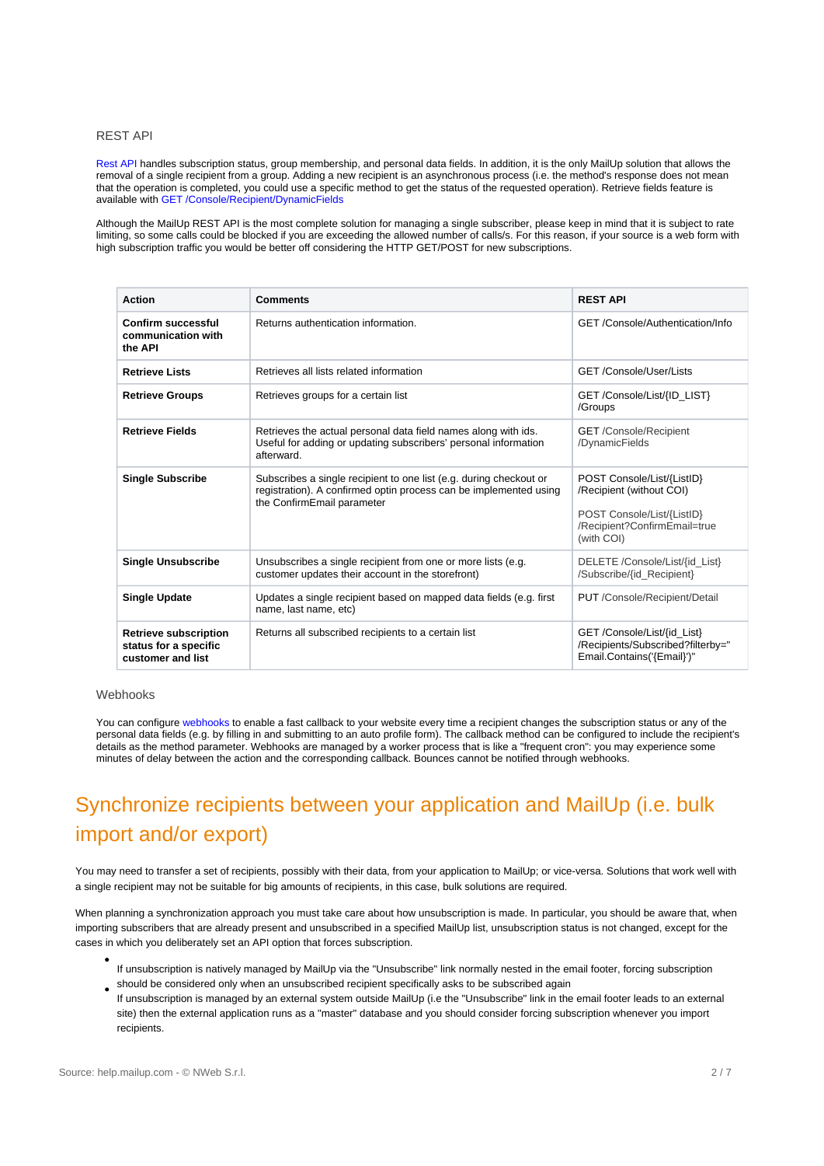### REST API

[Rest API](http://help.mailup.com/display/mailupapi/REST+API) handles subscription status, group membership, and personal data fields. In addition, it is the only MailUp solution that allows the removal of a single recipient from a group. Adding a new recipient is an asynchronous process (i.e. the method's response does not mean that the operation is completed, you could use a specific method to get the status of the requested operation). Retrieve fields feature is available with [GET /Console/Recipient/DynamicFields](http://help.mailup.com/display/mailupapi/Recipients#Recipients-Readpersonaldatafieldsconfiguration)

Although the MailUp REST API is the most complete solution for managing a single subscriber, please keep in mind that it is subject to rate limiting, so some calls could be blocked if you are exceeding the allowed number of calls/s. For this reason, if your source is a web form with high subscription traffic you would be better off considering the HTTP GET/POST for new subscriptions.

| <b>Action</b>                                                              | <b>Comments</b>                                                                                                                                                       | <b>REST API</b>                                                                                                                    |
|----------------------------------------------------------------------------|-----------------------------------------------------------------------------------------------------------------------------------------------------------------------|------------------------------------------------------------------------------------------------------------------------------------|
| Confirm successful<br>communication with<br>the API                        | Returns authentication information.                                                                                                                                   | GET/Console/Authentication/Info                                                                                                    |
| <b>Retrieve Lists</b>                                                      | Retrieves all lists related information                                                                                                                               | GET/Console/User/Lists                                                                                                             |
| <b>Retrieve Groups</b>                                                     | Retrieves groups for a certain list                                                                                                                                   | GET /Console/List/{ID LIST}<br>/Groups                                                                                             |
| <b>Retrieve Fields</b>                                                     | Retrieves the actual personal data field names along with ids.<br>Useful for adding or updating subscribers' personal information<br>afterward.                       | <b>GET</b> /Console/Recipient<br>/DynamicFields                                                                                    |
| <b>Single Subscribe</b>                                                    | Subscribes a single recipient to one list (e.g. during checkout or<br>registration). A confirmed optin process can be implemented using<br>the ConfirmEmail parameter | POST Console/List/{ListID}<br>/Recipient (without COI)<br>POST Console/List/{ListID}<br>/Recipient?ConfirmEmail=true<br>(with COI) |
| <b>Single Unsubscribe</b>                                                  | Unsubscribes a single recipient from one or more lists (e.g.<br>customer updates their account in the storefront)                                                     | DELETE /Console/List/{id List}<br>/Subscribe/{id Recipient}                                                                        |
| <b>Single Update</b>                                                       | Updates a single recipient based on mapped data fields (e.g. first<br>name, last name, etc)                                                                           | PUT /Console/Recipient/Detail                                                                                                      |
| <b>Retrieve subscription</b><br>status for a specific<br>customer and list | Returns all subscribed recipients to a certain list                                                                                                                   | GET/Console/List/{id List}<br>/Recipients/Subscribed?filterby="<br>Email.Contains('{Email}')"                                      |

### Webhooks

You can configure [webhooks t](http://help.mailup.com/display/MUG/Webhooks)o enable a fast callback to your website every time a recipient changes the subscription status or any of the personal data fields (e.g. by filling in and submitting to an auto profile form). The callback method can be configured to include the recipient's details as the method parameter. Webhooks are managed by a worker process that is like a "frequent cron": you may experience some minutes of delay between the action and the corresponding callback. Bounces cannot be notified through webhooks.

# <span id="page-1-0"></span>Synchronize recipients between your application and MailUp (i.e. bulk import and/or export)

You may need to transfer a set of recipients, possibly with their data, from your application to MailUp; or vice-versa. Solutions that work well with a single recipient may not be suitable for big amounts of recipients, in this case, bulk solutions are required.

When planning a synchronization approach you must take care about how unsubscription is made. In particular, you should be aware that, when importing subscribers that are already present and unsubscribed in a specified MailUp list, unsubscription status is not changed, except for the cases in which you deliberately set an API option that forces subscription.

- If unsubscription is natively managed by MailUp via the "Unsubscribe" link normally nested in the email footer, forcing subscription should be considered only when an unsubscribed recipient specifically asks to be subscribed again
- If unsubscription is managed by an external system outside MailUp (i.e the "Unsubscribe" link in the email footer leads to an external site) then the external application runs as a "master" database and you should consider forcing subscription whenever you import recipients.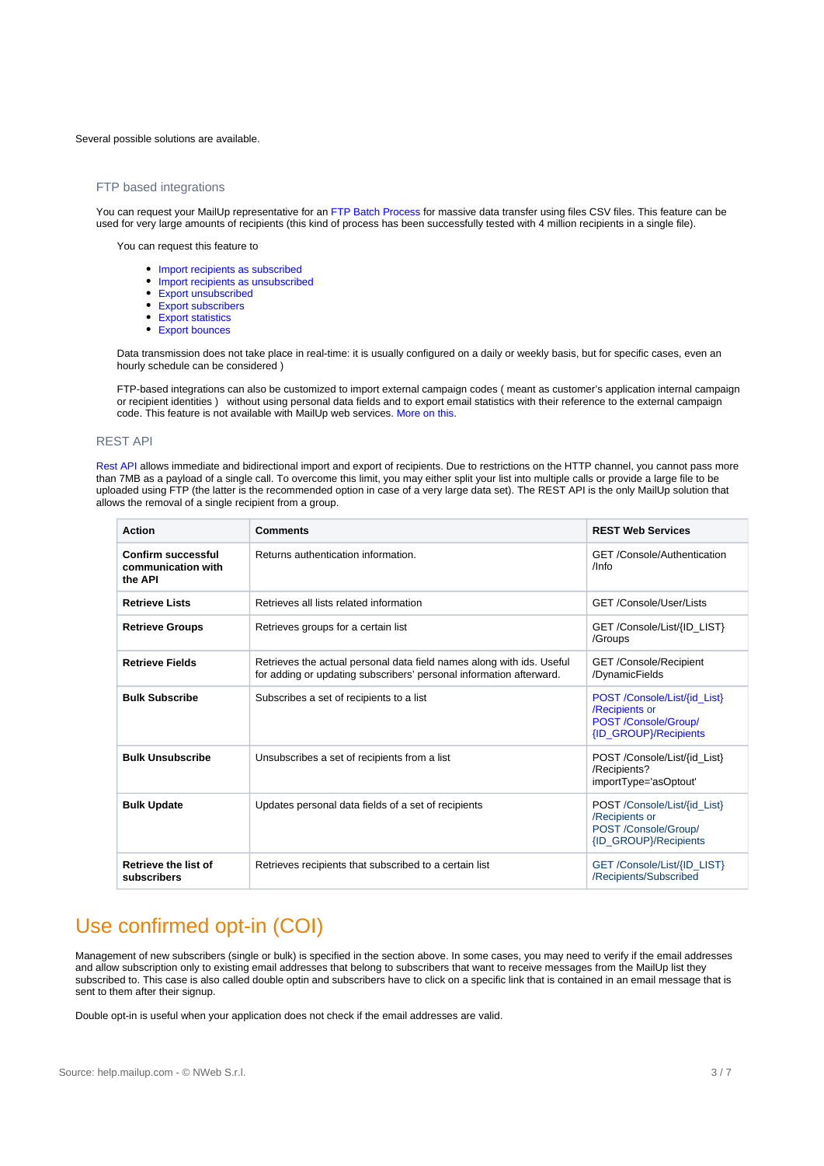#### Several possible solutions are available.

### FTP based integrations

You can request your MailUp representative for an [FTP Batch Process](http://help.mailup.com/display/mailupapi/FTP-based+integration) for massive data transfer using files CSV files. This feature can be used for very large amounts of recipients (this kind of process has been successfully tested with 4 million recipients in a single file).

You can request this feature to

- [Import recipients as subscribed](http://help.mailup.com/display/mailupapi/Configuration)
- [Import recipients as unsubscribed](http://help.mailup.com/display/mailupapi/Configuration)
- [Export unsubscribed](http://help.mailup.com/pages/viewpage.action?pageId=37978139) [Export subscribers](http://help.mailup.com/pages/viewpage.action?pageId=37978141)
- [Export statistics](http://help.mailup.com/pages/viewpage.action?pageId=37978132)
- [Export bounces](http://help.mailup.com/pages/viewpage.action?pageId=37978132)

Data transmission does not take place in real-time: it is usually configured on a daily or weekly basis, but for specific cases, even an hourly schedule can be considered )

FTP-based integrations can also be customized to import external campaign codes ( meant as customer's application internal campaign or recipient identities ) without using personal data fields and to export email statistics with their reference to the external campaign code. This feature is not available with MailUp web services. [More on this.](https://help.mailup.com/display/mailupapi/Configuration)

### REST API

[Rest API](http://help.mailup.com/display/mailupapi/REST+API) allows immediate and bidirectional import and export of recipients. Due to restrictions on the HTTP channel, you cannot pass more than 7MB as a payload of a single call. To overcome this limit, you may either split your list into multiple calls or provide a large file to be uploaded using FTP (the latter is the recommended option in case of a very large data set). The REST API is the only MailUp solution that allows the removal of a single recipient from a group.

| <b>Action</b>                                              | <b>Comments</b>                                                                                                                              | <b>REST Web Services</b>                                                                        |
|------------------------------------------------------------|----------------------------------------------------------------------------------------------------------------------------------------------|-------------------------------------------------------------------------------------------------|
| <b>Confirm successful</b><br>communication with<br>the API | Returns authentication information.                                                                                                          | <b>GET</b> /Console/Authentication<br>$/$ Info                                                  |
| <b>Retrieve Lists</b>                                      | Retrieves all lists related information                                                                                                      | GET/Console/User/Lists                                                                          |
| <b>Retrieve Groups</b>                                     | Retrieves groups for a certain list                                                                                                          | GET/Console/List/{ID_LIST}<br>/Groups                                                           |
| <b>Retrieve Fields</b>                                     | Retrieves the actual personal data field names along with ids. Useful<br>for adding or updating subscribers' personal information afterward. | <b>GET /Console/Recipient</b><br>/DynamicFields                                                 |
| <b>Bulk Subscribe</b>                                      | Subscribes a set of recipients to a list                                                                                                     | POST /Console/List/{id_List}<br>/Recipients or<br>POST /Console/Group/<br>{ID_GROUP}/Recipients |
| <b>Bulk Unsubscribe</b>                                    | Unsubscribes a set of recipients from a list                                                                                                 | POST /Console/List/{id_List}<br>/Recipients?<br>importType='asOptout'                           |
| <b>Bulk Update</b>                                         | Updates personal data fields of a set of recipients                                                                                          | POST /Console/List/{id_List}<br>/Recipients or<br>POST /Console/Group/<br>{ID_GROUP}/Recipients |
| <b>Retrieve the list of</b><br>subscribers                 | Retrieves recipients that subscribed to a certain list                                                                                       | GET/Console/List/{ID_LIST}<br>/Recipients/Subscribed                                            |

### <span id="page-2-0"></span>Use confirmed opt-in (COI)

Management of new subscribers (single or bulk) is specified in the section above. In some cases, you may need to verify if the email addresses and allow subscription only to existing email addresses that belong to subscribers that want to receive messages from the MailUp list they subscribed to. This case is also called double optin and subscribers have to click on a specific link that is contained in an email message that is sent to them after their signup.

Double opt-in is useful when your application does not check if the email addresses are valid.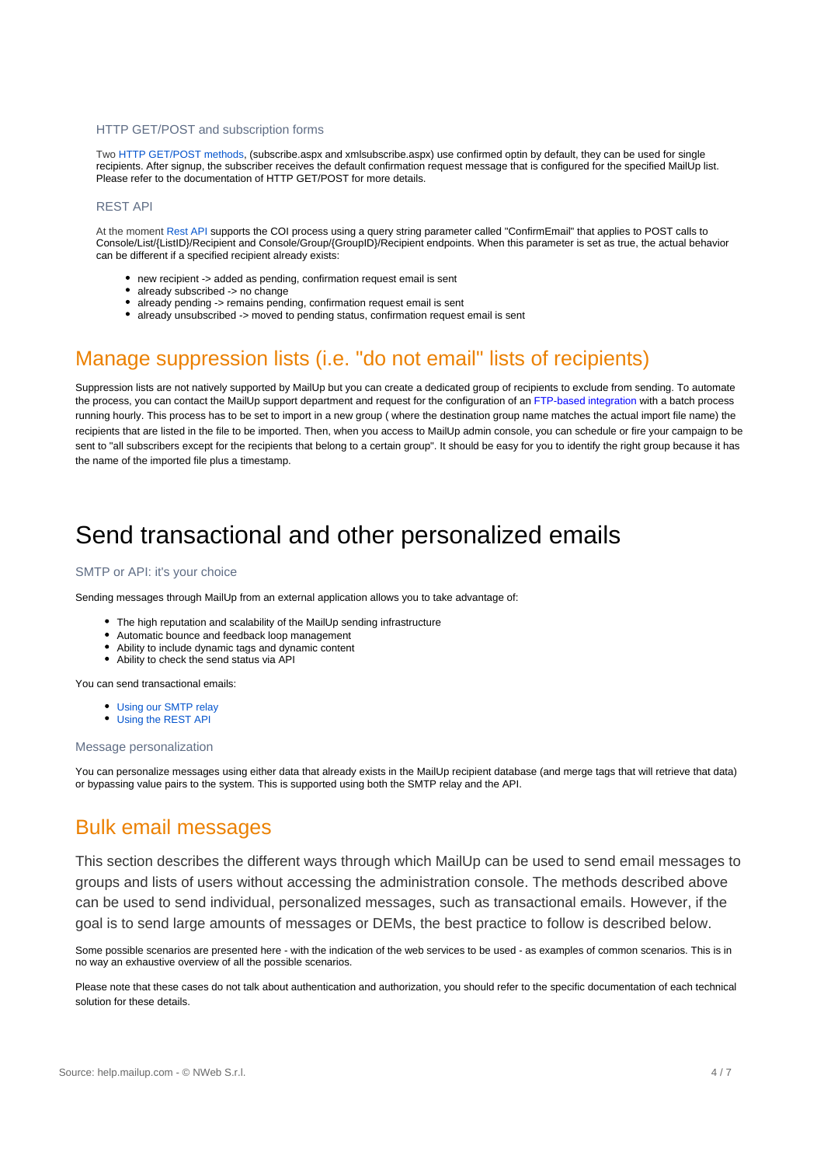### HTTP GET/POST and subscription forms

Two [HTTP GET/POST methods](http://help.mailup.com/display/mailupapi/HTTP+Get+or+Post+API), (subscribe.aspx and xmlsubscribe.aspx) use confirmed optin by default, they can be used for single recipients. After signup, the subscriber receives the default confirmation request message that is configured for the specified MailUp list. Please refer to the documentation of HTTP GET/POST for more details.

### REST API

At the moment [Rest API](http://help.mailup.com/display/mailupapi/REST+API) supports the COI process using a query string parameter called "ConfirmEmail" that applies to POST calls to Console/List/{ListID}/Recipient and Console/Group/{GroupID}/Recipient endpoints. When this parameter is set as true, the actual behavior can be different if a specified recipient already exists:

- new recipient -> added as pending, confirmation request email is sent
- already subscribed -> no change
- already pending -> remains pending, confirmation request email is sent  $\bullet$
- already unsubscribed -> moved to pending status, confirmation request email is sent

## <span id="page-3-0"></span>Manage suppression lists (i.e. "do not email" lists of recipients)

Suppression lists are not natively supported by MailUp but you can create a dedicated group of recipients to exclude from sending. To automate the process, you can contact the MailUp support department and request for the configuration of an [FTP-based integration](http://help.mailup.com/pages/editpage.action?pageId=27820147#CompareAPIsolutions-FTPbasedintegrations) with a batch process running hourly. This process has to be set to import in a new group ( where the destination group name matches the actual import file name) the recipients that are listed in the file to be imported. Then, when you access to MailUp admin console, you can schedule or fire your campaign to be sent to "all subscribers except for the recipients that belong to a certain group". It should be easy for you to identify the right group because it has the name of the imported file plus a timestamp.

# <span id="page-3-1"></span>Send transactional and other personalized emails

### SMTP or API: it's your choice

Sending messages through MailUp from an external application allows you to take advantage of:

- The high reputation and scalability of the MailUp sending infrastructure
- Automatic bounce and feedback loop management
- Ability to include dynamic tags and dynamic content
- Ability to check the send status via API

You can send transactional emails:

- [Using our SMTP relay](https://help.mailup.com/display/mailupapi/SMTP+relay+service)
- [Using the REST API](https://help.mailup.com/display/mailupapi/Transactional+Emails+using+APIs)

### Message personalization

You can personalize messages using either data that already exists in the MailUp recipient database (and merge tags that will retrieve that data) or bypassing value pairs to the system. This is supported using both the SMTP relay and the API.

### <span id="page-3-2"></span>Bulk email messages

This section describes the different ways through which MailUp can be used to send email messages to groups and lists of users without accessing the administration console. The methods described above can be used to send individual, personalized messages, such as transactional emails. However, if the goal is to send large amounts of messages or DEMs, the best practice to follow is described below.

Some possible scenarios are presented here - with the indication of the web services to be used - as examples of common scenarios. This is in no way an exhaustive overview of all the possible scenarios.

Please note that these cases do not talk about authentication and authorization, you should refer to the specific documentation of each technical solution for these details.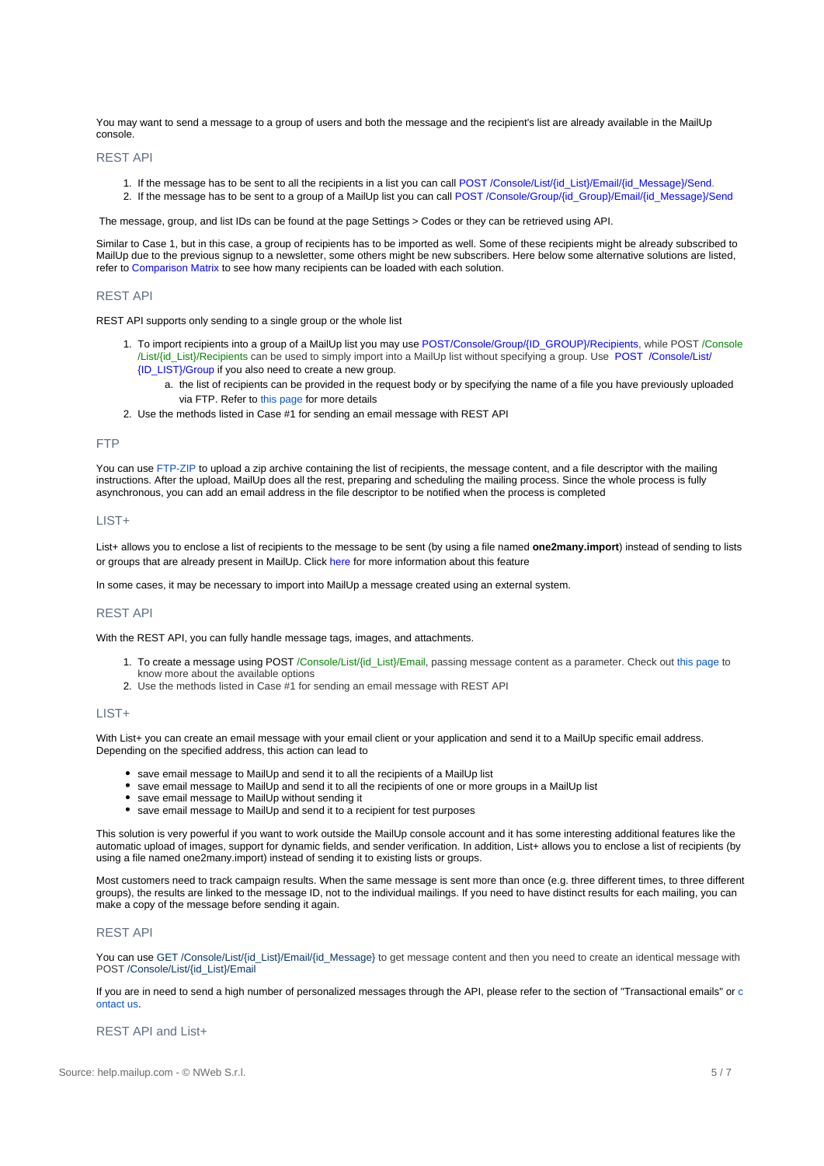You may want to send a message to a group of users and both the message and the recipient's list are already available in the MailUp console.

### REST API

- 1. If the message has to be sent to all the recipients in a list you can call POST /Console/List/{id\_List}/Email/{id\_Message}/Send.
- 2. If the message has to be sent to a group of a MailUp list you can call POST /Console/Group/{id\_Group}/Email/{id\_Message}/Send

The message, group, and list IDs can be found at the page Settings > [Codes](https://help.mailup.com/display/mailupapi/Codes+Table+and+List+GUID) or they can be retrieved using API.

Similar to Case 1, but in this case, a group of recipients has to be imported as well. Some of these recipients might be already subscribed to MailUp due to the previous signup to a newsletter, some others might be new subscribers. Here below some alternative solutions are listed, refer to [Comparison Matrix](http://help.mailup.com/display/mailupapi/Compare+API+solutions) to see how many recipients can be loaded with each solution.

### REST API

REST API supports only sending to a single group or the whole list

- 1. To import recipients into a group of a MailUp list you may use [POST/Console/Group/{ID\\_GROUP}/Recipients](http://help.mailup.com/display/mailupapi/Recipients), while POST /Console /List/{id\_List}/Recipients can be used to simply import into a MailUp list without specifying a group. Use [POST /](http://help.mailup.com/pages/viewpage.action?pageId=27492456)Console/List/ {ID\_LIST}/Group if you also need to create a new group.
	- a. the list of recipients can be provided in the request body or by specifying the name of a file you have previously uploaded via FTP. Refer to [this page](http://help.mailup.com/display/mailupapi/Recipients#Recipients-Managemultiplerecipients) for more details
- 2. Use the methods listed in Case #1 for sending an email message with REST API

### FTP

You can use [FTP-ZIP](http://help.mailup.com/display/mailupapi/Batch+FTP-ZIP) to upload a zip archive containing the list of recipients, the message content, and a file descriptor with the mailing instructions. After the upload, MailUp does all the rest, preparing and scheduling the mailing process. Since the whole process is fully asynchronous, you can add an email address in the file descriptor to be notified when the process is completed

### LIST+

List+ allows you to enclose a list of recipients to the message to be sent (by using a file named **one2many.import**) instead of sending to lists or groups that are already present in MailUp. Click [here](http://help.mailup.com/pages/viewpage.action?pageId=16416996) for more information about this feature

In some cases, it may be necessary to import into MailUp a message created using an external system.

### REST API

With the REST API, you can fully handle message tags, images, and attachments.

- 1. To create a message using POST /Console/List/{id\_List}/Email, passing message content as a parameter. Check out [this page](http://help.mailup.com/display/mailupapi/Email+messages) to know more about the available options
- 2. Use the methods listed in Case #1 for sending an email message with REST API

#### LIST+

With List+ you can create an email message with your email client or your application and send it to a MailUp specific email address. Depending on the specified address, this action can lead to

- save email message to MailUp and send it to all the recipients of a MailUp list
- save email message to MailUp and send it to all the recipients of one or more groups in a MailUp list
- save email message to MailUp without sending it
- save email message to MailUp and send it to a recipient for test purposes

This solution is very powerful if you want to work outside the MailUp console account and it has some interesting additional features like the automatic upload of images, support for dynamic fields, and sender verification. In addition, List+ allows you to enclose a list of recipients (by using a file named one2many.import) instead of sending it to existing lists or groups.

Most customers need to track campaign results. When the same message is sent more than once (e.g. three different times, to three different groups), the results are linked to the message ID, not to the individual mailings. If you need to have distinct results for each mailing, you can make a copy of the message before sending it again.

### REST API

You can use GET /Console/List/{id\_List}/Email/{id\_Message} to get message content and then you need to create an identical message with POST /Console/List/{id\_List}/Email

If you are in need to send a high number of personalized messages through the API, please refer to the section of "Transactional emails" or [c](http://www.mailup.com/p/pc/contacts-d55.htm) [ontact us.](http://www.mailup.com/p/pc/contacts-d55.htm)

### REST API and List+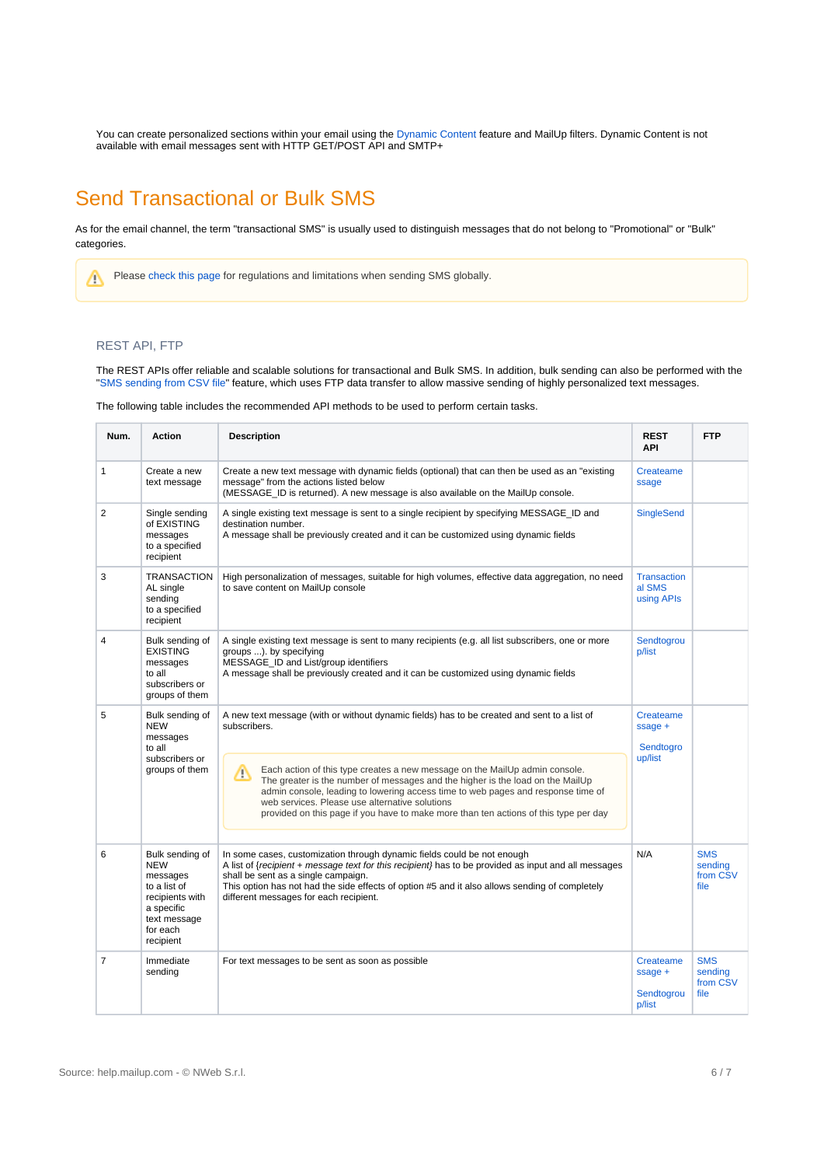You can create personalized sections within your email using the [Dynamic Content](http://help.mailup.com/display/MUG/Dynamic+content) feature and MailUp filters. Dynamic Content is not available with email messages sent with HTTP GET/POST API and SMTP+

# <span id="page-5-0"></span>Send Transactional or Bulk SMS

As for the email channel, the term "transactional SMS" is usually used to distinguish messages that do not belong to "Promotional" or "Bulk" categories.

Please [check this page](https://help.mailup.com/display/MUG/Sending+SMS+Globally) for regulations and limitations when sending SMS globally. Δ

### REST API, FTP

The REST APIs offer reliable and scalable solutions for transactional and Bulk SMS. In addition, bulk sending can also be performed with the ["SMS sending from CSV file](https://help.mailup.com/display/mailupapi/SMS+sending+from+.CSV+file)" feature, which uses FTP data transfer to allow massive sending of highly personalized text messages.

The following table includes the recommended API methods to be used to perform certain tasks.

| Num.           | <b>Action</b>                                                                                                                       | <b>Description</b>                                                                                                                                                                                                                                                                                                                                                                               | <b>REST</b><br><b>API</b>                      | <b>FTP</b>                                |
|----------------|-------------------------------------------------------------------------------------------------------------------------------------|--------------------------------------------------------------------------------------------------------------------------------------------------------------------------------------------------------------------------------------------------------------------------------------------------------------------------------------------------------------------------------------------------|------------------------------------------------|-------------------------------------------|
| $\mathbf{1}$   | Create a new<br>text message                                                                                                        | Create a new text message with dynamic fields (optional) that can then be used as an "existing<br>message" from the actions listed below<br>(MESSAGE ID is returned). A new message is also available on the MailUp console.                                                                                                                                                                     | Createame<br>ssage                             |                                           |
| $\overline{2}$ | Single sending<br>of EXISTING<br>messages<br>to a specified<br>recipient                                                            | A single existing text message is sent to a single recipient by specifying MESSAGE_ID and<br>destination number.<br>A message shall be previously created and it can be customized using dynamic fields                                                                                                                                                                                          | <b>SingleSend</b>                              |                                           |
| 3              | TRANSACTION<br>AL single<br>sending<br>to a specified<br>recipient                                                                  | High personalization of messages, suitable for high volumes, effective data aggregation, no need<br>to save content on MailUp console                                                                                                                                                                                                                                                            | <b>Transaction</b><br>al SMS<br>using APIs     |                                           |
| $\overline{4}$ | Bulk sending of<br><b>EXISTING</b><br>messages<br>to all<br>subscribers or<br>groups of them                                        | A single existing text message is sent to many recipients (e.g. all list subscribers, one or more<br>groups ). by specifying<br>MESSAGE ID and List/group identifiers<br>A message shall be previously created and it can be customized using dynamic fields                                                                                                                                     | Sendtogrou<br>p/list                           |                                           |
| 5              | Bulk sending of<br><b>NEW</b><br>messages<br>to all<br>subscribers or<br>groups of them                                             | A new text message (with or without dynamic fields) has to be created and sent to a list of<br>subscribers.                                                                                                                                                                                                                                                                                      | Createame<br>$spage +$<br>Sendtogro<br>up/list |                                           |
|                |                                                                                                                                     | Each action of this type creates a new message on the MailUp admin console.<br>Δ<br>The greater is the number of messages and the higher is the load on the MailUp<br>admin console, leading to lowering access time to web pages and response time of<br>web services. Please use alternative solutions<br>provided on this page if you have to make more than ten actions of this type per day |                                                |                                           |
| 6              | Bulk sending of<br><b>NEW</b><br>messages<br>to a list of<br>recipients with<br>a specific<br>text message<br>for each<br>recipient | In some cases, customization through dynamic fields could be not enough<br>A list of {recipient + message text for this recipient} has to be provided as input and all messages<br>shall be sent as a single campaign.<br>This option has not had the side effects of option #5 and it also allows sending of completely<br>different messages for each recipient.                               | N/A                                            | <b>SMS</b><br>sending<br>from CSV<br>file |
| $\overline{7}$ | Immediate<br>sending                                                                                                                | For text messages to be sent as soon as possible                                                                                                                                                                                                                                                                                                                                                 | Createame<br>$spage +$<br>Sendtogrou<br>p/list | <b>SMS</b><br>sending<br>from CSV<br>file |